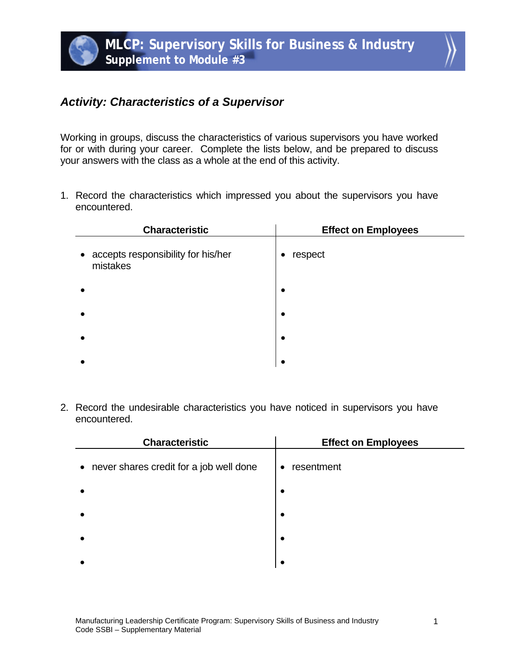## *Activity: Characteristics of a Supervisor*

Working in groups, discuss the characteristics of various supervisors you have worked for or with during your career. Complete the lists below, and be prepared to discuss your answers with the class as a whole at the end of this activity.

1. Record the characteristics which impressed you about the supervisors you have encountered.

| <b>Characteristic</b>                            | <b>Effect on Employees</b> |
|--------------------------------------------------|----------------------------|
| • accepts responsibility for his/her<br>mistakes | respect<br>٠               |
|                                                  | $\bullet$                  |
|                                                  | ٠                          |
|                                                  | ٠                          |
|                                                  |                            |

2. Record the undesirable characteristics you have noticed in supervisors you have encountered.

| <b>Characteristic</b>                     | <b>Effect on Employees</b> |
|-------------------------------------------|----------------------------|
| • never shares credit for a job well done | resentment<br>$\bullet$    |
|                                           | $\bullet$                  |
|                                           | $\bullet$                  |
|                                           | $\bullet$                  |
|                                           | ٠                          |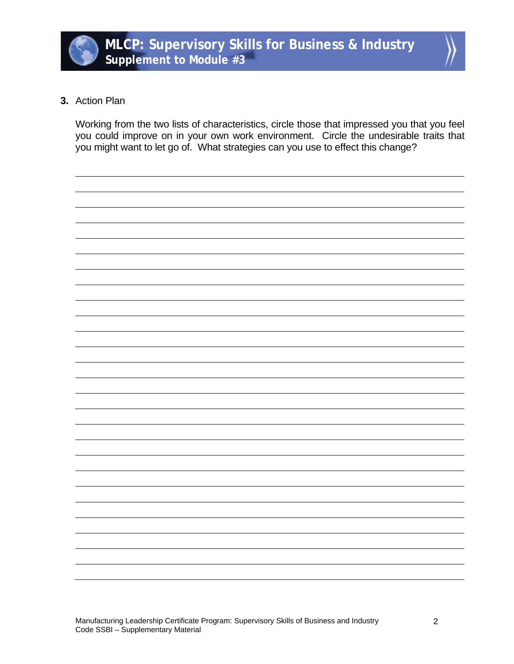



## **3.** Action Plan

Working from the two lists of characteristics, circle those that impressed you that you feel you could improve on in your own work environment. Circle the undesirable traits that you might want to let go of. What strategies can you use to effect this change?